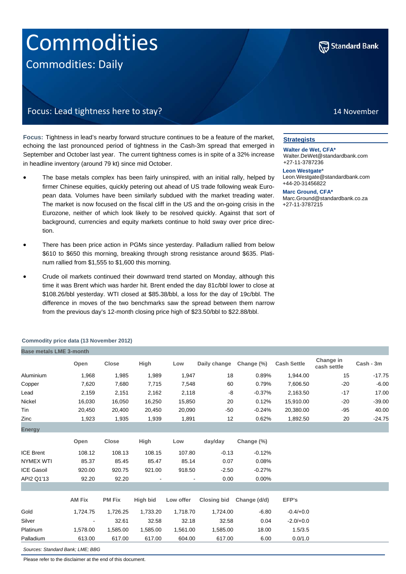# **Commodities** Commodities: Daily



14 November

### Focus: Lead tightness here to stay?

**Focus:** Tightness in lead's nearby forward structure continues to be a feature of the market, echoing the last pronounced period of tightness in the Cash-3m spread that emerged in September and October last year. The current tightness comes is in spite of a 32% increase in headline inventory (around 79 kt) since mid October.

- The base metals complex has been fairly uninspired, with an initial rally, helped by firmer Chinese equities, quickly petering out ahead of US trade following weak European data. Volumes have been similarly subdued with the market treading water. The market is now focused on the fiscal cliff in the US and the on-going crisis in the Eurozone, neither of which look likely to be resolved quickly. Against that sort of background, currencies and equity markets continue to hold sway over price direction.
- There has been price action in PGMs since yesterday. Palladium rallied from below \$610 to \$650 this morning, breaking through strong resistance around \$635. Platinum rallied from \$1,555 to \$1,600 this morning.
- Crude oil markets continued their downward trend started on Monday, although this time it was Brent which was harder hit. Brent ended the day 81c/bbl lower to close at \$108.26/bbl yesterday. WTI closed at \$85.38/bbl, a loss for the day of 19c/bbl. The difference in moves of the two benchmarks saw the spread between them narrow from the previous day's 12-month closing price high of \$23.50/bbl to \$22.88/bbl.

#### **Strategists**

**Walter de Wet, CFA\*** Walter.DeWet@standardbank.com +27-11-3787236

**Leon Westgate\*** Leon.Westgate@standardbank.com +44-20-31456822

**Marc Ground, CFA\*** Marc.Ground@standardbank.co.za +27-11-3787215

|                                |                | Commodity price data (TO NOVEMBER 2012) |          |           |                    |              |                    |                          |           |
|--------------------------------|----------------|-----------------------------------------|----------|-----------|--------------------|--------------|--------------------|--------------------------|-----------|
| <b>Base metals LME 3-month</b> |                |                                         |          |           |                    |              |                    |                          |           |
|                                | Open           | <b>Close</b>                            | High     | Low       | Daily change       | Change (%)   | <b>Cash Settle</b> | Change in<br>cash settle | Cash - 3m |
| Aluminium                      | 1,968          | 1,985                                   | 1,989    | 1,947     | 18                 | 0.89%        | 1,944.00           | 15                       | $-17.75$  |
| Copper                         | 7,620          | 7,680                                   | 7,715    | 7,548     | 60                 | 0.79%        | 7,606.50           | $-20$                    | $-6.00$   |
| Lead                           | 2,159          | 2,151                                   | 2,162    | 2,118     | -8                 | $-0.37%$     | 2,163.50           | $-17$                    | 17.00     |
| Nickel                         | 16,030         | 16,050                                  | 16,250   | 15,850    | 20                 | 0.12%        | 15,910.00          | $-20$                    | $-39.00$  |
| Tin                            | 20,450         | 20,400                                  | 20,450   | 20,090    | -50                | $-0.24%$     | 20,380.00          | $-95$                    | 40.00     |
| Zinc                           | 1,923          | 1,935                                   | 1,939    | 1,891     | 12                 | 0.62%        | 1,892.50           | 20                       | $-24.75$  |
| <b>Energy</b>                  |                |                                         |          |           |                    |              |                    |                          |           |
|                                | Open           | Close                                   | High     | Low       | day/day            | Change (%)   |                    |                          |           |
| <b>ICE Brent</b>               | 108.12         | 108.13                                  | 108.15   | 107.80    | $-0.13$            | $-0.12%$     |                    |                          |           |
| <b>NYMEX WTI</b>               | 85.37          | 85.45                                   | 85.47    | 85.14     | 0.07               | 0.08%        |                    |                          |           |
| <b>ICE Gasoil</b>              | 920.00         | 920.75                                  | 921.00   | 918.50    | $-2.50$            | $-0.27%$     |                    |                          |           |
| API2 Q1'13                     | 92.20          | 92.20                                   |          |           | 0.00               | 0.00%        |                    |                          |           |
|                                |                |                                         |          |           |                    |              |                    |                          |           |
|                                | <b>AM Fix</b>  | <b>PM Fix</b>                           | High bid | Low offer | <b>Closing bid</b> | Change (d/d) | EFP's              |                          |           |
| Gold                           | 1,724.75       | 1,726.25                                | 1,733.20 | 1,718.70  | 1,724.00           | $-6.80$      | $-0.4/+0.0$        |                          |           |
| Silver                         | $\blacksquare$ | 32.61                                   | 32.58    | 32.18     | 32.58              | 0.04         | $-2.0/+0.0$        |                          |           |
| Platinum                       | 1,578.00       | 1,585.00                                | 1,585.00 | 1,561.00  | 1,585.00           | 18.00        | 1.5/3.5            |                          |           |
| Palladium                      | 613.00         | 617.00                                  | 617.00   | 604.00    | 617.00             | 6.00         | 0.0/1.0            |                          |           |

**Commodity price data (13 November 2012)**

*Sources: Standard Bank; LME; BBG* 

Please refer to the disclaimer at the end of this document.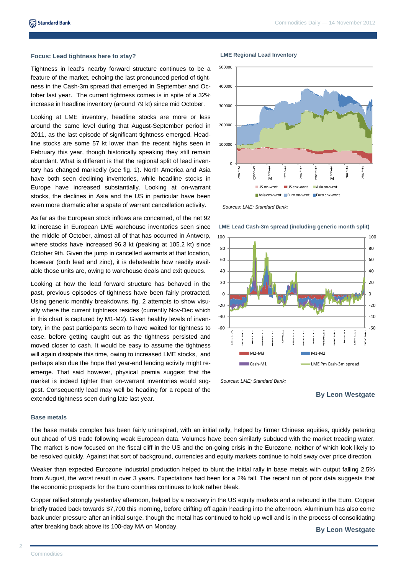#### **Focus: Lead tightness here to stay?**

Tightness in lead's nearby forward structure continues to be a feature of the market, echoing the last pronounced period of tightness in the Cash-3m spread that emerged in September and October last year. The current tightness comes is in spite of a 32% increase in headline inventory (around 79 kt) since mid October.

Looking at LME inventory, headline stocks are more or less around the same level during that August-September period in 2011, as the last episode of significant tightness emerged. Headline stocks are some 57 kt lower than the recent highs seen in February this year, though historically speaking they still remain abundant. What is different is that the regional split of lead inventory has changed markedly (see fig. 1). North America and Asia have both seen declining inventories, while headline stocks in Europe have increased substantially. Looking at on-warrant stocks, the declines in Asia and the US in particular have been even more dramatic after a spate of warrant cancellation activity.

As far as the European stock inflows are concerned, of the net 92 kt increase in European LME warehouse inventories seen since the middle of October, almost all of that has occurred in Antwerp, where stocks have increased 96.3 kt (peaking at 105.2 kt) since October 9th. Given the jump in cancelled warrants at that location, however (both lead and zinc), it is debateable how readily available those units are, owing to warehouse deals and exit queues.

Looking at how the lead forward structure has behaved in the past, previous episodes of tightness have been fairly protracted. Using generic monthly breakdowns, fig. 2 attempts to show visually where the current tightness resides (currently Nov-Dec which in this chart is captured by M1-M2). Given healthy levels of inventory, in the past participants seem to have waited for tightness to ease, before getting caught out as the tightness persisted and moved closer to cash. It would be easy to assume the tightness will again dissipate this time, owing to increased LME stocks, and perhaps also due the hope that year-end lending activity might reemerge. That said however, physical premia suggest that the market is indeed tighter than on-warrant inventories would suggest. Consequently lead may well be heading for a repeat of the extended tightness seen during late last year. **By Leon Westgate** extended tightness seen during late last year.

#### **LME Regional Lead Inventory**



*Sources: LME; Standard Bank;* 

**LME Lead Cash-3m spread (including generic month split)**



*Sources: LME; Standard Bank;* 

#### **Base metals**

The base metals complex has been fairly uninspired, with an initial rally, helped by firmer Chinese equities, quickly petering out ahead of US trade following weak European data. Volumes have been similarly subdued with the market treading water. The market is now focused on the fiscal cliff in the US and the on-going crisis in the Eurozone, neither of which look likely to be resolved quickly. Against that sort of background, currencies and equity markets continue to hold sway over price direction.

Weaker than expected Eurozone industrial production helped to blunt the initial rally in base metals with output falling 2.5% from August, the worst result in over 3 years. Expectations had been for a 2% fall. The recent run of poor data suggests that the economic prospects for the Euro countries continues to look rather bleak.

Copper rallied strongly yesterday afternoon, helped by a recovery in the US equity markets and a rebound in the Euro. Copper briefly traded back towards \$7,700 this morning, before drifting off again heading into the afternoon. Aluminium has also come back under pressure after an initial surge, though the metal has continued to hold up well and is in the process of consolidating after breaking back above its 100-day MA on Monday. **By Leon Westgate** 

 $\circ$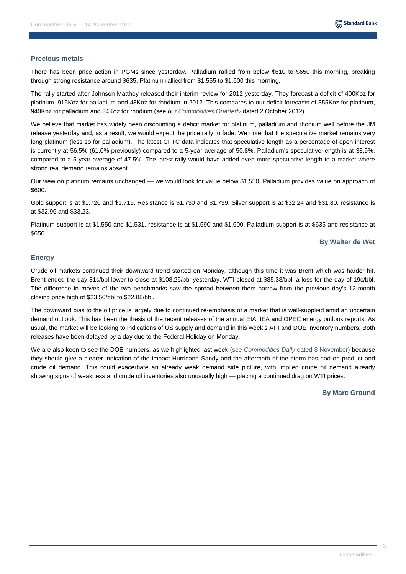#### **Precious metals**

There has been price action in PGMs since yesterday. Palladium rallied from below \$610 to \$650 this morning, breaking through strong resistance around \$635. Platinum rallied from \$1,555 to \$1,600 this morning.

The rally started after Johnson Matthey released their interim review for 2012 yesterday. They forecast a deficit of 400Koz for platinum, 915Koz for palladium and 43Koz for rhodium in 2012. This compares to our deficit forecasts of 355Koz for platinum, 940Koz for palladium and 34Koz for rhodium (see our *Commodities Quarterly* dated 2 October 2012).

We believe that market has widely been discounting a deficit market for platinum, palladium and rhodium well before the JM release yesterday and, as a result, we would expect the price rally to fade. We note that the speculative market remains very long platinum (less so for palladium). The latest CFTC data indicates that speculative length as a percentage of open interest is currently at 56.5% (61.0% previously) compared to a 5-year average of 50.8%. Palladium's speculative length is at 38.9%, compared to a 5-year average of 47.5%. The latest rally would have added even more speculative length to a market where strong real demand remains absent.

Our view on platinum remains unchanged — we would look for value below \$1,550. Palladium provides value on approach of \$600.

Gold support is at \$1,720 and \$1,715. Resistance is \$1,730 and \$1,739. Silver support is at \$32.24 and \$31.80, resistance is at \$32.96 and \$33.23.

Platinum support is at \$1,550 and \$1,531, resistance is at \$1,590 and \$1,600. Palladium support is at \$635 and resistance at \$650.

#### **By Walter de Wet**

#### **Energy**

Crude oil markets continued their downward trend started on Monday, although this time it was Brent which was harder hit. Brent ended the day 81c/bbl lower to close at \$108.26/bbl yesterday. WTI closed at \$85.38/bbl, a loss for the day of 19c/bbl. The difference in moves of the two benchmarks saw the spread between them narrow from the previous day's 12-month closing price high of \$23.50/bbl to \$22.88/bbl.

The downward bias to the oil price is largely due to continued re-emphasis of a market that is well-supplied amid an uncertain demand outlook. This has been the thesis of the recent releases of the annual EIA, IEA and OPEC energy outlook reports. As usual, the market will be looking to indications of US supply and demand in this week's API and DOE inventory numbers. Both releases have been delayed by a day due to the Federal Holiday on Monday.

We are also keen to see the DOE numbers, as we highlighted last week (see *Commodities Daily* dated 8 November) because they should give a clearer indication of the impact Hurricane Sandy and the aftermath of the storm has had on product and crude oil demand. This could exacerbate an already weak demand side picture, with implied crude oil demand already showing signs of weakness and crude oil inventories also unusually high — placing a continued drag on WTI prices.

**By Marc Ground**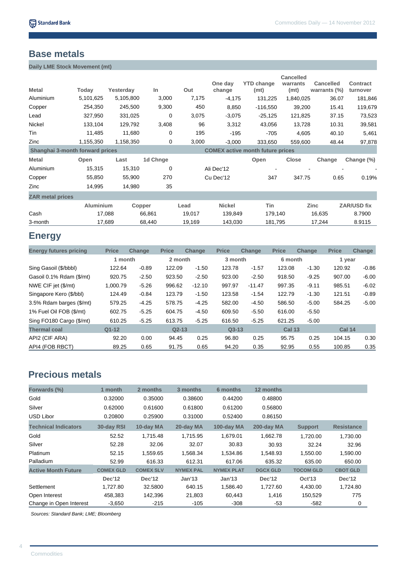### **Base metals**

**Daily LME Stock Movement (mt)** 

| <b>Metal</b>                    | Today            | Yesterday | In       | Out    | One day<br>change | <b>YTD change</b><br>(mt)               | <b>Cancelled</b><br>warrants<br>(mt) | <b>Cancelled</b><br>warrants $(\%)$ | <b>Contract</b><br>turnover |
|---------------------------------|------------------|-----------|----------|--------|-------------------|-----------------------------------------|--------------------------------------|-------------------------------------|-----------------------------|
| Aluminium                       | 5,101,625        | 5,105,800 | 3,000    | 7,175  | $-4,175$          | 131,225                                 | 1,840,025                            | 36.07                               | 181,846                     |
| Copper                          | 254,350          | 245,500   | 9,300    | 450    | 8,850             | $-116,550$                              | 39,200                               | 15.41                               | 119,679                     |
| Lead                            | 327,950          | 331,025   | 0        | 3,075  | $-3,075$          | $-25,125$                               | 121,825                              | 37.15                               | 73,523                      |
| Nickel                          | 133,104          | 129,792   | 3,408    | 96     | 3,312             | 43,056                                  | 13,728                               | 10.31                               | 39,581                      |
| Tin                             | 11,485           | 11,680    | 0        | 195    | $-195$            | $-705$                                  | 4,605                                | 40.10                               | 5,461                       |
| Zinc                            | 1,155,350        | 1,158,350 | 0        | 3,000  | $-3,000$          | 333,650                                 | 559,600                              | 48.44                               | 97,878                      |
| Shanghai 3-month forward prices |                  |           |          |        |                   | <b>COMEX</b> active month future prices |                                      |                                     |                             |
| <b>Metal</b>                    | Open             | Last      | 1d Chnge |        |                   | Open                                    | <b>Close</b>                         | Change                              | Change (%)                  |
| Aluminium                       | 15,315           | 15,310    | 0        |        | Ali Dec'12        |                                         |                                      |                                     |                             |
| Copper                          | 55,850           | 55,900    | 270      |        | Cu Dec'12         | 347                                     | 347.75                               | 0.65                                | 0.19%                       |
| Zinc                            | 14,995           | 14,980    | 35       |        |                   |                                         |                                      |                                     |                             |
| <b>ZAR metal prices</b>         |                  |           |          |        |                   |                                         |                                      |                                     |                             |
|                                 | <b>Aluminium</b> | Copper    |          | Lead   | <b>Nickel</b>     | Tin                                     |                                      | <b>Zinc</b>                         | <b>ZAR/USD fix</b>          |
| Cash                            | 17,088           |           | 66,861   | 19,017 | 139,849           | 179,140                                 |                                      | 16,635                              | 8.7900                      |
| 3-month                         | 17,689           |           | 68,440   | 19,169 | 143,030           | 181,795                                 |                                      | 17,244                              | 8.9115                      |

# **Energy**

| <b>Energy futures pricing</b> | <b>Price</b> | <b>Change</b> | <b>Price</b> | <b>Change</b> | <b>Price</b> | <b>Change</b> | <b>Price</b>  | <b>Change</b> | <b>Price</b>  | Change  |  |
|-------------------------------|--------------|---------------|--------------|---------------|--------------|---------------|---------------|---------------|---------------|---------|--|
|                               | 1 month      |               | 2 month      |               |              | 3 month       |               | 6 month       |               | 1 year  |  |
| Sing Gasoil (\$/bbbl)         | 122.64       | $-0.89$       | 122.09       | $-1.50$       | 123.78       | $-1.57$       | 123.08        | $-1.30$       | 120.92        | $-0.86$ |  |
| Gasoil 0.1% Rdam (\$/mt)      | 920.75       | $-2.50$       | 923.50       | $-2.50$       | 923.00       | $-2.50$       | 918.50        | $-9.25$       | 907.00        | $-6.00$ |  |
| NWE CIF jet (\$/mt)           | 1,000.79     | $-5.26$       | 996.62       | $-12.10$      | 997.97       | $-11.47$      | 997.35        | $-9.11$       | 985.51        | $-6.02$ |  |
| Singapore Kero (\$/bbl)       | 124.49       | $-0.84$       | 123.79       | $-1.50$       | 123.58       | $-1.54$       | 122.79        | $-1.30$       | 121.51        | $-0.89$ |  |
| 3.5% Rdam barges (\$/mt)      | 579.25       | $-4.25$       | 578.75       | $-4.25$       | 582.00       | $-4.50$       | 586.50        | $-5.00$       | 584.25        | $-5.00$ |  |
| 1% Fuel Oil FOB (\$/mt)       | 602.75       | $-5.25$       | 604.75       | $-4.50$       | 609.50       | $-5.50$       | 616.00        | $-5.50$       |               |         |  |
| Sing FO180 Cargo (\$/mt)      | 610.25       | $-5.25$       | 613.75       | $-5.25$       | 616.50       | $-5.25$       | 621.25        | $-5.00$       |               |         |  |
| <b>Thermal coal</b>           | $Q1 - 12$    |               | $Q2-13$      |               | $Q3-13$      |               | <b>Cal 13</b> |               | <b>Cal 14</b> |         |  |
| API2 (CIF ARA)                | 92.20        | 0.00          | 94.45        | 0.25          | 96.80        | 0.25          | 95.75         | 0.25          | 104.15        | 0.30    |  |
| API4 (FOB RBCT)               | 89.25        | 0.65          | 91.75        | 0.65          | 94.20        | 0.35          | 92.95         | 0.55          | 100.85        | 0.35    |  |

# **Precious metals**

| Forwards (%)                | 1 month          | 2 months         | 3 months          | 6 months          | 12 months       |                  |                   |
|-----------------------------|------------------|------------------|-------------------|-------------------|-----------------|------------------|-------------------|
| Gold                        | 0.32000          | 0.35000          | 0.38600           | 0.44200           | 0.48800         |                  |                   |
| Silver                      | 0.62000          | 0.61600          | 0.61800           | 0.61200           | 0.56800         |                  |                   |
| USD Libor                   | 0.20800          | 0.25900          | 0.31000           | 0.52400           | 0.86150         |                  |                   |
| <b>Technical Indicators</b> | 30-day RSI       | 10-day MA        | 20-day MA         | 100-day MA        | 200-day MA      | <b>Support</b>   | <b>Resistance</b> |
| Gold                        | 52.52            | 1,715.48         | 1,715.95          | 1.679.01          | 1,662.78        | 1,720.00         | 1,730.00          |
| Silver                      | 52.28            | 32.06            | 32.07             | 30.83             | 30.93           | 32.24            | 32.96             |
| Platinum                    | 52.15            | 1,559.65         | 1,568.34          | 1,534.86          | 1.548.93        | 1,550.00         | 1,590.00          |
| <b>Palladium</b>            | 52.99            | 616.33           | 612.31            | 617.06            | 635.32          | 635.00           | 650.00            |
| <b>Active Month Future</b>  | <b>COMEX GLD</b> | <b>COMEX SLV</b> | <b>NYMEX PAL</b>  | <b>NYMEX PLAT</b> | <b>DGCX GLD</b> | <b>TOCOM GLD</b> | <b>CBOT GLD</b>   |
|                             | Dec'12           | <b>Dec'12</b>    | Jan <sup>13</sup> | Jan <sup>13</sup> | Dec'12          | <b>Oct'13</b>    | Dec'12            |
| Settlement                  | 1,727.80         | 32,5800          | 640.15            | 1,586.40          | 1,727.60        | 4,430.00         | 1,724.80          |
| Open Interest               | 458,383          | 142,396          | 21,803            | 60,443            | 1,416           | 150,529          | 775               |
| Change in Open Interest     | $-3,650$         | $-215$           | $-105$            | $-308$            | $-53$           | $-582$           | 0                 |

*Sources: Standard Bank; LME; Bloomberg*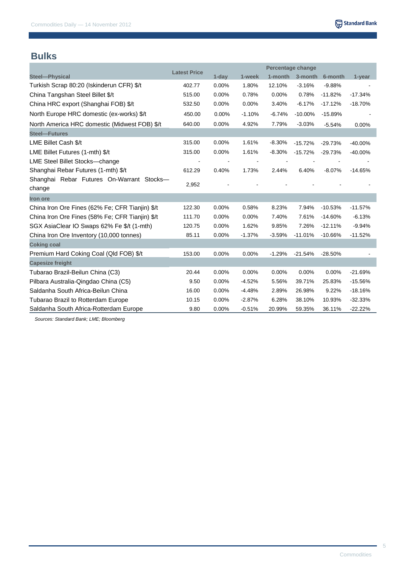## **Bulks**

|                                                 |                     |          | Percentage change |          |            |           |           |
|-------------------------------------------------|---------------------|----------|-------------------|----------|------------|-----------|-----------|
| Steel-Physical                                  | <b>Latest Price</b> | $1$ -day | 1-week            | 1-month  | 3-month    | 6-month   | 1-year    |
| Turkish Scrap 80:20 (Iskinderun CFR) \$/t       | 402.77              | 0.00%    | 1.80%             | 12.10%   | $-3.16%$   | $-9.88%$  |           |
| China Tangshan Steel Billet \$/t                | 515.00              | 0.00%    | 0.78%             | 0.00%    | 0.78%      | $-11.82%$ | $-17.34%$ |
| China HRC export (Shanghai FOB) \$/t            | 532.50              | $0.00\%$ | 0.00%             | 3.40%    | $-6.17%$   | $-17.12%$ | $-18.70%$ |
| North Europe HRC domestic (ex-works) \$/t       | 450.00              | 0.00%    | $-1.10%$          | $-6.74%$ | $-10.00\%$ | $-15.89%$ |           |
| North America HRC domestic (Midwest FOB) \$/t   | 640.00              | 0.00%    | 4.92%             | 7.79%    | $-3.03%$   | $-5.54%$  | 0.00%     |
| <b>Steel-Futures</b>                            |                     |          |                   |          |            |           |           |
| LME Billet Cash \$/t                            | 315.00              | 0.00%    | 1.61%             | $-8.30%$ | $-15.72%$  | $-29.73%$ | $-40.00%$ |
| LME Billet Futures (1-mth) \$/t                 | 315.00              | 0.00%    | 1.61%             | $-8.30%$ | $-15.72%$  | $-29.73%$ | $-40.00%$ |
| LME Steel Billet Stocks-change                  |                     |          |                   |          |            |           |           |
| Shanghai Rebar Futures (1-mth) \$/t             | 612.29              | 0.40%    | 1.73%             | 2.44%    | 6.40%      | $-8.07%$  | $-14.65%$ |
| Shanghai Rebar Futures On-Warrant Stocks-       |                     |          |                   |          |            |           |           |
| change                                          | 2,952               |          |                   |          |            |           |           |
| <b>Iron ore</b>                                 |                     |          |                   |          |            |           |           |
| China Iron Ore Fines (62% Fe; CFR Tianjin) \$/t | 122.30              | 0.00%    | 0.58%             | 8.23%    | 7.94%      | $-10.53%$ | $-11.57%$ |
| China Iron Ore Fines (58% Fe; CFR Tianjin) \$/t | 111.70              | 0.00%    | 0.00%             | 7.40%    | 7.61%      | $-14.60%$ | $-6.13%$  |
| SGX AsiaClear IO Swaps 62% Fe \$/t (1-mth)      | 120.75              | 0.00%    | 1.62%             | 9.85%    | 7.26%      | $-12.11%$ | $-9.94%$  |
| China Iron Ore Inventory (10,000 tonnes)        | 85.11               | 0.00%    | $-1.37%$          | $-3.59%$ | $-11.01%$  | $-10.66%$ | $-11.52%$ |
| <b>Coking coal</b>                              |                     |          |                   |          |            |           |           |
| Premium Hard Coking Coal (QId FOB) \$/t         | 153.00              | 0.00%    | 0.00%             | $-1.29%$ | $-21.54%$  | $-28.50%$ |           |
| <b>Capesize freight</b>                         |                     |          |                   |          |            |           |           |
| Tubarao Brazil-Beilun China (C3)                | 20.44               | 0.00%    | 0.00%             | 0.00%    | 0.00%      | 0.00%     | $-21.69%$ |
| Pilbara Australia-Qingdao China (C5)            | 9.50                | 0.00%    | $-4.52%$          | 5.56%    | 39.71%     | 25.83%    | $-15.56%$ |
| Saldanha South Africa-Beilun China              | 16.00               | 0.00%    | $-4.48%$          | 2.89%    | 26.98%     | 9.22%     | $-18.16%$ |
| Tubarao Brazil to Rotterdam Europe              | 10.15               | 0.00%    | $-2.87%$          | 6.28%    | 38.10%     | 10.93%    | $-32.33%$ |
| Saldanha South Africa-Rotterdam Europe          | 9.80                | 0.00%    | $-0.51%$          | 20.99%   | 59.35%     | 36.11%    | $-22.22%$ |

*Sources: Standard Bank; LME; Bloomberg*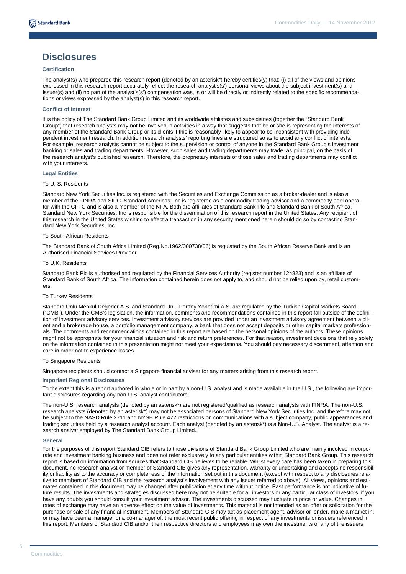### **Disclosures**

#### **Certification**

The analyst(s) who prepared this research report (denoted by an asterisk\*) hereby certifies(y) that: (i) all of the views and opinions expressed in this research report accurately reflect the research analyst's(s') personal views about the subject investment(s) and issuer(s) and (ii) no part of the analyst's(s') compensation was, is or will be directly or indirectly related to the specific recommendations or views expressed by the analyst(s) in this research report.

#### **Conflict of Interest**

It is the policy of The Standard Bank Group Limited and its worldwide affiliates and subsidiaries (together the "Standard Bank Group") that research analysts may not be involved in activities in a way that suggests that he or she is representing the interests of any member of the Standard Bank Group or its clients if this is reasonably likely to appear to be inconsistent with providing independent investment research. In addition research analysts' reporting lines are structured so as to avoid any conflict of interests. For example, research analysts cannot be subject to the supervision or control of anyone in the Standard Bank Group's investment banking or sales and trading departments. However, such sales and trading departments may trade, as principal, on the basis of the research analyst's published research. Therefore, the proprietary interests of those sales and trading departments may conflict with your interests.

#### **Legal Entities**

#### To U. S. Residents

Standard New York Securities Inc. is registered with the Securities and Exchange Commission as a broker-dealer and is also a member of the FINRA and SIPC. Standard Americas, Inc is registered as a commodity trading advisor and a commodity pool operator with the CFTC and is also a member of the NFA. Both are affiliates of Standard Bank Plc and Standard Bank of South Africa. Standard New York Securities, Inc is responsible for the dissemination of this research report in the United States. Any recipient of this research in the United States wishing to effect a transaction in any security mentioned herein should do so by contacting Standard New York Securities, Inc.

#### To South African Residents

The Standard Bank of South Africa Limited (Reg.No.1962/000738/06) is regulated by the South African Reserve Bank and is an Authorised Financial Services Provider.

#### To U.K. Residents

Standard Bank Plc is authorised and regulated by the Financial Services Authority (register number 124823) and is an affiliate of Standard Bank of South Africa. The information contained herein does not apply to, and should not be relied upon by, retail customers.

#### To Turkey Residents

Standard Unlu Menkul Degerler A.S. and Standard Unlu Portfoy Yonetimi A.S. are regulated by the Turkish Capital Markets Board ("CMB"). Under the CMB's legislation, the information, comments and recommendations contained in this report fall outside of the definition of investment advisory services. Investment advisory services are provided under an investment advisory agreement between a client and a brokerage house, a portfolio management company, a bank that does not accept deposits or other capital markets professionals. The comments and recommendations contained in this report are based on the personal opinions of the authors. These opinions might not be appropriate for your financial situation and risk and return preferences. For that reason, investment decisions that rely solely on the information contained in this presentation might not meet your expectations. You should pay necessary discernment, attention and care in order not to experience losses.

#### To Singapore Residents

Singapore recipients should contact a Singapore financial adviser for any matters arising from this research report.

#### **Important Regional Disclosures**

To the extent this is a report authored in whole or in part by a non-U.S. analyst and is made available in the U.S., the following are important disclosures regarding any non-U.S. analyst contributors:

The non-U.S. research analysts (denoted by an asterisk\*) are not registered/qualified as research analysts with FINRA. The non-U.S. research analysts (denoted by an asterisk\*) may not be associated persons of Standard New York Securities Inc. and therefore may not be subject to the NASD Rule 2711 and NYSE Rule 472 restrictions on communications with a subject company, public appearances and trading securities held by a research analyst account. Each analyst (denoted by an asterisk\*) is a Non-U.S. Analyst. The analyst is a research analyst employed by The Standard Bank Group Limited..

#### **General**

For the purposes of this report Standard CIB refers to those divisions of Standard Bank Group Limited who are mainly involved in corporate and investment banking business and does not refer exclusively to any particular entities within Standard Bank Group. This research report is based on information from sources that Standard CIB believes to be reliable. Whilst every care has been taken in preparing this document, no research analyst or member of Standard CIB gives any representation, warranty or undertaking and accepts no responsibility or liability as to the accuracy or completeness of the information set out in this document (except with respect to any disclosures relative to members of Standard CIB and the research analyst's involvement with any issuer referred to above). All views, opinions and estimates contained in this document may be changed after publication at any time without notice. Past performance is not indicative of future results. The investments and strategies discussed here may not be suitable for all investors or any particular class of investors; if you have any doubts you should consult your investment advisor. The investments discussed may fluctuate in price or value. Changes in rates of exchange may have an adverse effect on the value of investments. This material is not intended as an offer or solicitation for the purchase or sale of any financial instrument. Members of Standard CIB may act as placement agent, advisor or lender, make a market in, or may have been a manager or a co-manager of, the most recent public offering in respect of any investments or issuers referenced in this report. Members of Standard CIB and/or their respective directors and employees may own the investments of any of the issuers